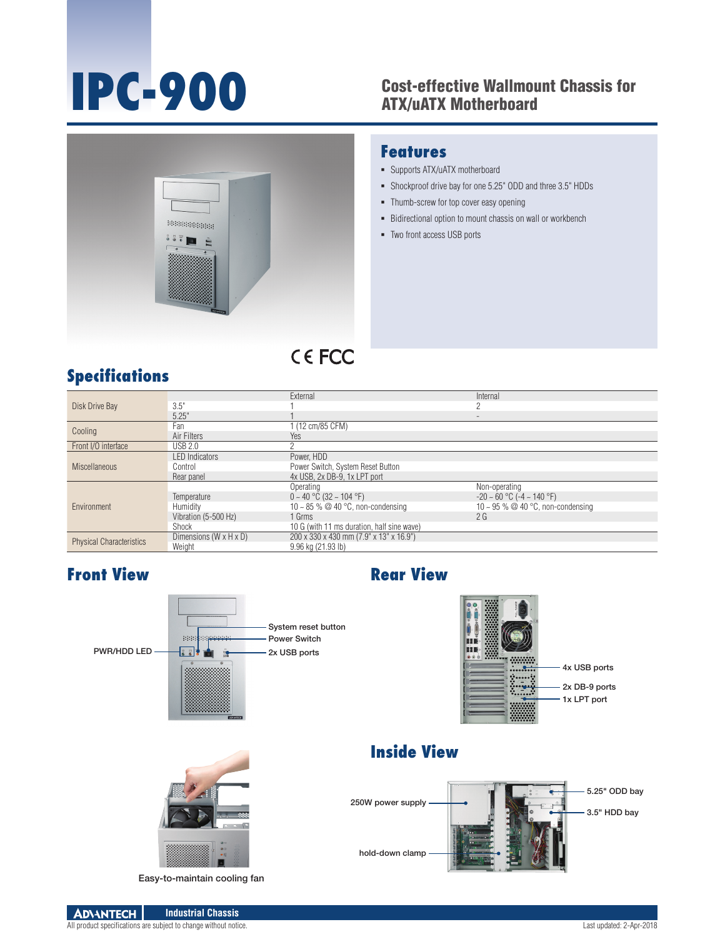## **IPC-900** Cost-effective Wallmount Chassis for<br>ATX/uATX Motherboard ATX/uATX Motherboard



### **Features**

- Supports ATX/uATX motherboard
- Shockproof drive bay for one 5.25" ODD and three 3.5" HDDs
- **-** Thumb-screw for top cover easy opening
- **Bidirectional option to mount chassis on wall or workbench**
- Two front access USB ports

## **Specifications**

| Disk Drive Bay                  |                        | External                                   | Internal                             |
|---------------------------------|------------------------|--------------------------------------------|--------------------------------------|
|                                 | 3.5"                   |                                            |                                      |
|                                 | 5.25"                  |                                            |                                      |
| Cooling                         | Fan                    | (12 cm/85 CFM)                             |                                      |
|                                 | Air Filters            | Yes                                        |                                      |
| Front I/O interface             | <b>USB 2.0</b>         |                                            |                                      |
| <b>Miscellaneous</b>            | <b>LED</b> Indicators  | Power, HDD                                 |                                      |
|                                 | Control                | Power Switch, System Reset Button          |                                      |
|                                 | Rear panel             | 4x USB, 2x DB-9, 1x LPT port               |                                      |
| Environment                     |                        | Operating                                  | Non-operating                        |
|                                 | Temperature            | $0 \sim 40$ °C (32 ~ 104 °F)               | $-20 \sim 60$ °C ( $-4 \sim 140$ °F) |
|                                 | Humidity               | 10 ~ 85 % @ 40 °C, non-condensing          | 10 ~ 95 % @ 40 °C, non-condensing    |
|                                 | Vibration (5-500 Hz)   | $1$ Grms                                   | 2G                                   |
|                                 | Shock                  | 10 G (with 11 ms duration, half sine wave) |                                      |
| <b>Physical Characteristics</b> | Dimensions (W x H x D) | 200 x 330 x 430 mm (7.9" x 13" x 16.9")    |                                      |
|                                 | Weight                 | 9.96 kg (21.93 lb)                         |                                      |

### **Front View Rear View**





## **Inside View**





Easy-to-maintain cooling fan

**ADVANTECH Industrial Chassis**

All product specifications are subject to change without notice. Last updated: 2-Apr-2018